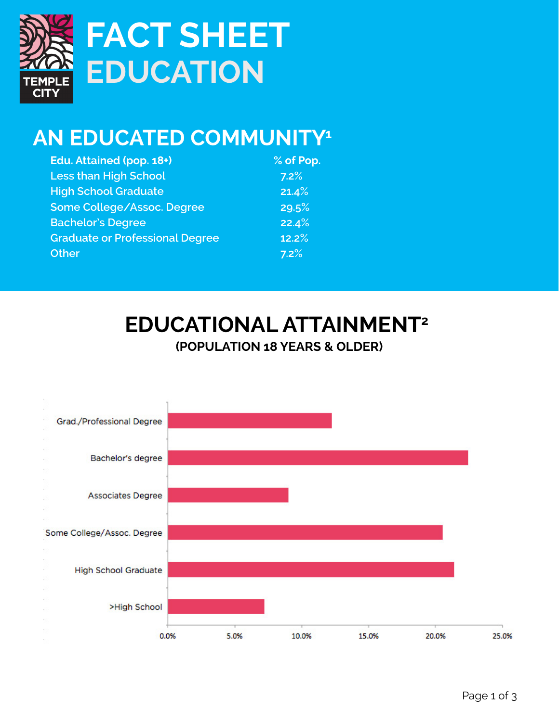

# **EDUCATION FACT SHEET**

## **AN EDUCATED COMMUNITY1**

| Edu. Attained (pop. 18+)               | % of Pop. |
|----------------------------------------|-----------|
| <b>Less than High School</b>           | 7.2%      |
| <b>High School Graduate</b>            | 21.4%     |
| Some College/Assoc. Degree             | 29.5%     |
| <b>Bachelor's Degree</b>               | 22.4%     |
| <b>Graduate or Professional Degree</b> | 12.2%     |
| <b>Other</b>                           | 7.2%      |

#### **EDUCATIONAL ATTAINMENT2 (POPULATION 18 YEARS & OLDER)**

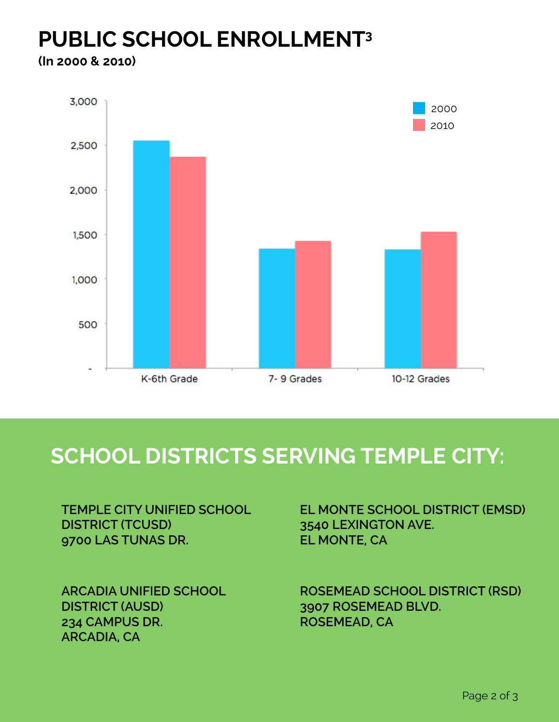#### **PUBLIC SCHOOL ENROLLMENT3 (In 2000 & 2010)**



### **school districts serving temple city:**

**TEMPLE CITY UNIFIED SCHOOL DISTRICT (TCUSD) 9700 LAS TUNAS DR.**

**ARCADIA UNIFIED SCHOOL DISTRICT (AUSD) 234 CAMPUS DR. ARCADIA, CA**

**EL MONTE SCHOOL DISTRICT (EMSD) 3540 LEXINGTON AVE. EL MONTE, CA**

**ROSEMEAD SCHOOL DISTRICT (RSD) 3907 ROSEMEAD BLVD. ROSEMEAD, CA**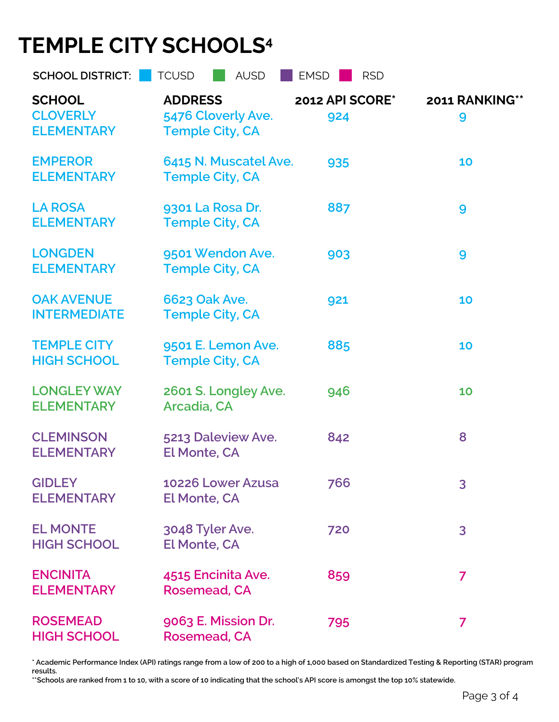## **TEMPLE CITY SCHOOLS4**

| <b>SCHOOL DISTRICT:</b>                               | <b>TCUSD</b><br><b>AUSD</b>                                    | <b>EMSD</b><br><b>RSD</b> |                     |
|-------------------------------------------------------|----------------------------------------------------------------|---------------------------|---------------------|
| <b>SCHOOL</b><br><b>CLOVERLY</b><br><b>ELEMENTARY</b> | <b>ADDRESS</b><br>5476 Cloverly Ave.<br><b>Temple City, CA</b> | 2012 API SCORE*<br>924    | 2011 RANKING**<br>9 |
| <b>EMPEROR</b><br><b>ELEMENTARY</b>                   | 6415 N. Muscatel Ave.<br><b>Temple City, CA</b>                | 935                       | 10                  |
| <b>LA ROSA</b><br><b>ELEMENTARY</b>                   | 9301 La Rosa Dr.<br><b>Temple City, CA</b>                     | 887                       | 9                   |
| <b>LONGDEN</b><br><b>ELEMENTARY</b>                   | 9501 Wendon Ave.<br><b>Temple City, CA</b>                     | 903                       | 9                   |
| <b>OAK AVENUE</b><br><b>INTERMEDIATE</b>              | 6623 Oak Ave.<br><b>Temple City, CA</b>                        | 921                       | 10                  |
| <b>TEMPLE CITY</b><br><b>HIGH SCHOOL</b>              | 9501 E. Lemon Ave.<br><b>Temple City, CA</b>                   | 885                       | 10                  |
| <b>LONGLEY WAY</b><br><b>ELEMENTARY</b>               | 2601 S. Longley Ave.<br>Arcadia, CA                            | 946                       | 10                  |
| <b>CLEMINSON</b><br><b>ELEMENTARY</b>                 | 5213 Daleview Ave.<br><b>El Monte, CA</b>                      | 842                       | 8                   |
| <b>GIDLEY</b><br><b>ELEMENTARY</b>                    | 10226 Lower Azusa<br><b>El Monte, CA</b>                       | 766                       | 3                   |
| <b>EL MONTE</b><br><b>HIGH SCHOOL</b>                 | 3048 Tyler Ave.<br><b>El Monte, CA</b>                         | 720                       | 3                   |
| <b>ENCINITA</b><br><b>ELEMENTARY</b>                  | 4515 Encinita Ave.<br><b>Rosemead, CA</b>                      | 859                       | $\overline{7}$      |
| <b>ROSEMEAD</b><br><b>HIGH SCHOOL</b>                 | 9063 E. Mission Dr.<br>Rosemead, CA                            | 795                       | 7                   |

**\* Academic Performance Index (API) ratings range from a low of 200 to a high of 1,000 based on Standardized Testing & Reporting (STAR) program results.**

**\*\*Schools are ranked from 1 to 10, with a score of 10 indicating that the school's API score is amongst the top 10% statewide.**